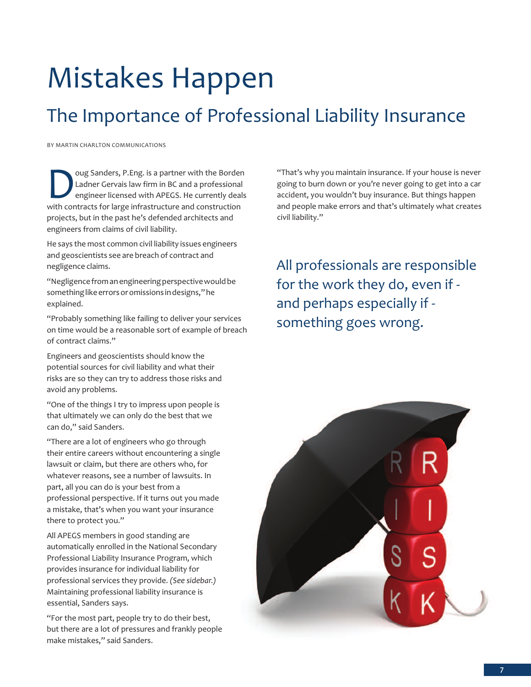# Mistakes Happen

### The Importance of Professional Liability Insurance

by MaRtIN CHaRLtON COMMUNICatIONS

Oug Sanders, P.Eng. is a partner with the Borden<br>Ladner Gervais law firm in BC and a professional<br>engineer licensed with APEGS. He currently deals<br>with contracts for large infrastructure and construction Ladner Gervais law firm in BC and a professional engineer licensed with aPEgS. He currently deals with contracts for large infrastructure and construction projects, but in the past he's defended architects and engineers from claims of civil liability.

He says the most common civil liability issues engineers and geoscientists see are breach of contract and negligence claims.

"Negligence from an engineering perspective would be something like errors or omissions in designs," he explained.

"Probably something like failing to deliver your services on time would be a reasonable sort of example of breach of contract claims."

Engineers and geoscientists should know the potential sources for civil liability and what their risks are so they can try to address those risks and avoid any problems.

"One of the things I try to impress upon people is that ultimately we can only do the best that we can do," said Sanders.

"There are a lot of engineers who go through their entire careers without encountering a single lawsuit or claim, but there are others who, for whatever reasons, see a number of lawsuits. In part, all you can do is your best from a professional perspective. If it turns out you made a mistake, that's when you want your insurance there to protect you."

all aPEgS members in good standing are automatically enrolled in the National Secondary Professional Liability Insurance Program, which provides insurance for individual liability for professional services they provide. *(See sidebar.)* Maintaining professional liability insurance is essential, Sanders says.

"For the most part, people try to do their best, but there are a lot of pressures and frankly people make mistakes," said Sanders.

"That's why you maintain insurance. If your house is never going to burn down or you're never going to get into a car accident, you wouldn't buy insurance. but things happen and people make errors and that's ultimately what creates civil liability."

all professionals are responsible for the work they do, even if and perhaps especially if something goes wrong.

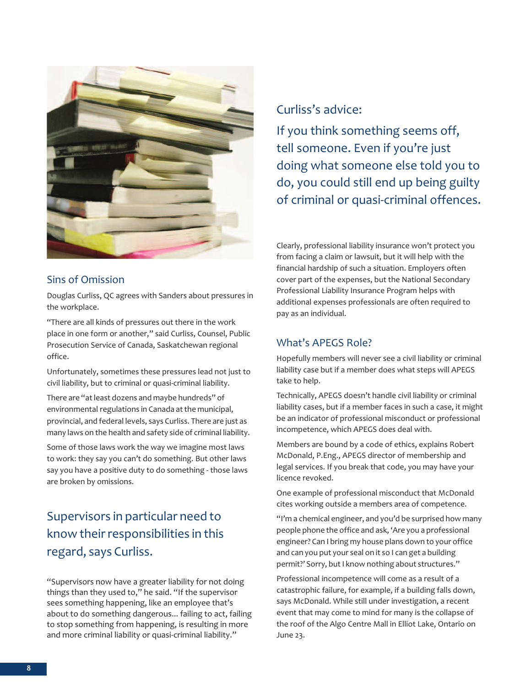

#### Sins of Omission

Douglas Curliss, QC agrees with Sanders about pressures in the workplace.

"there are all kinds of pressures out there in the work place in one form or another," said Curliss, Counsel, Public Prosecution Service of Canada, Saskatchewan regional office.

Unfortunately, sometimes these pressures lead not just to civil liability, but to criminal or quasi-criminal liability.

There are "at least dozens and maybe hundreds" of environmental regulations in Canada at the municipal, provincial, and federal levels, says Curliss. There are just as many laws on the health and safety side of criminal liability.

Some of those laws work the way we imagine most laws to work: they say you can't do something. But other laws say you have a positive duty to do something - those laws are broken by omissions.

#### Supervisors in particular need to know their responsibilities in this regard, says Curliss.

"Supervisors now have a greater liability for not doing things than they used to," he said. "If the supervisor sees something happening, like an employee that's about to do something dangerous... failing to act, failing to stop something from happening, is resulting in more and more criminal liability or quasi-criminal liability."

#### Curliss's advice:

If you think something seems off, tell someone. Even if you're just doing what someone else told you to do, you could still end up being guilty of criminal or quasi-criminal offences.

Clearly, professional liability insurance won't protect you from facing a claim or lawsuit, but it will help with the financial hardship of such a situation. Employers often cover part of the expenses, but the National Secondary Professional Liability Insurance Program helps with additional expenses professionals are often required to pay as an individual.

#### What's aPEgS Role?

Hopefully members will never see a civil liability or criminal liability case but if a member does what steps will APEGS take to help.

Technically, APEGS doesn't handle civil liability or criminal liability cases, but if a member faces in such a case, it might be an indicator of professional misconduct or professional incompetence, which aPEgS does deal with.

Members are bound by a code of ethics, explains Robert McDonald, P.Eng., APEGS director of membership and legal services. If you break that code, you may have your licence revoked.

One example of professional misconduct that McDonald cites working outside a members area of competence.

"I'm a chemical engineer, and you'd be surprised how many people phone the office and ask, 'Are you a professional engineer? Can I bring my house plans down to your office and can you put your seal on it so I can get a building permit?' Sorry, but I know nothing about structures."

Professional incompetence will come as a result of a catastrophic failure, for example, if a building falls down, says McDonald. While still under investigation, a recent event that may come to mind for many is the collapse of the roof of the algo Centre Mall in Elliot Lake, Ontario on june 23.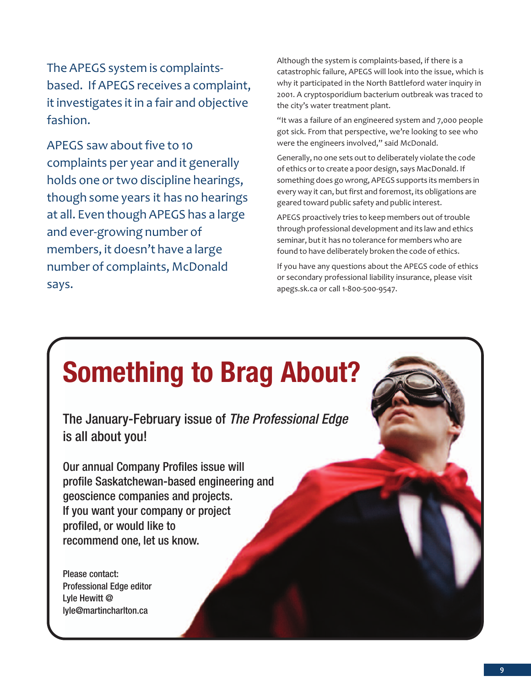The APEGS system is complaintsbased. If APEGS receives a complaint, it investigates it in a fair and objective fashion.

APEGS saw about five to 10 complaints per year and it generally holds one or two discipline hearings, though some years it has no hearings at all. Even though APEGS has a large and ever-growing number of members, it doesn't have a large number of complaints, McDonald says.

although the system is complaints-based, if there is a catastrophic failure, APEGS will look into the issue, which is why it participated in the North Battleford water inquiry in 2001. A cryptosporidium bacterium outbreak was traced to the city's water treatment plant.

"It was a failure of an engineered system and 7,000 people got sick. From that perspective, we're looking to see who were the engineers involved," said McDonald.

Generally, no one sets out to deliberately violate the code of ethics orto create a poor design, says MacDonald. If something does go wrong, APEGS supports its members in every way it can, but first and foremost, its obligations are geared toward public safety and public interest.

APEGS proactively tries to keep members out of trouble through professional development and its law and ethics seminar, but it has no tolerance for members who are found to have deliberately broken the code of ethics.

If you have any questions about the APEGS code of ethics or secondary professional liability insurance, please visit apegs.sk.ca or call 1-800-500-9547.

## **Something to Brag About?**

The January-February issue of *The Professional Edge* is all about you!

Our annual Company Profiles issue will profile Saskatchewan-based engineering and geoscience companies and projects. If you want your company or project profiled, or would like to recommend one, let us know.

Please contact: Professional Edge editor Lyle Hewitt @ lyle@martincharlton.ca